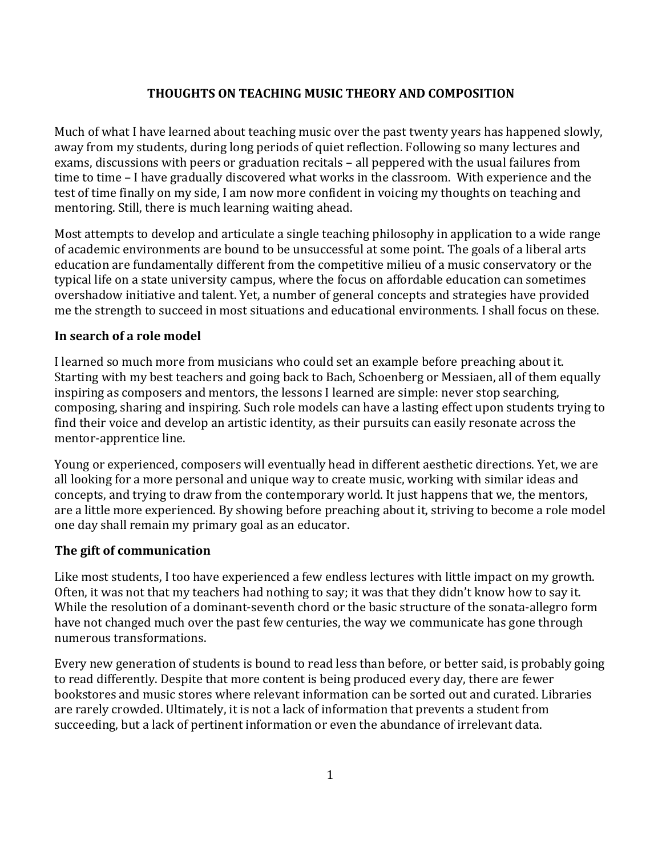### **THOUGHTS ON TEACHING MUSIC THEORY AND COMPOSITION**

Much of what I have learned about teaching music over the past twenty years has happened slowly, away from my students, during long periods of quiet reflection. Following so many lectures and exams, discussions with peers or graduation recitals – all peppered with the usual failures from time to time – I have gradually discovered what works in the classroom. With experience and the test of time finally on my side, I am now more confident in voicing my thoughts on teaching and mentoring. Still, there is much learning waiting ahead.

Most attempts to develop and articulate a single teaching philosophy in application to a wide range of academic environments are bound to be unsuccessful at some point. The goals of a liberal arts education are fundamentally different from the competitive milieu of a music conservatory or the typical life on a state university campus, where the focus on affordable education can sometimes overshadow initiative and talent. Yet, a number of general concepts and strategies have provided me the strength to succeed in most situations and educational environments. I shall focus on these.

#### **In search of a role model**

I learned so much more from musicians who could set an example before preaching about it. Starting with my best teachers and going back to Bach, Schoenberg or Messiaen, all of them equally inspiring as composers and mentors, the lessons I learned are simple: never stop searching, composing, sharing and inspiring. Such role models can have a lasting effect upon students trying to find their voice and develop an artistic identity, as their pursuits can easily resonate across the mentor-apprentice line.

Young or experienced, composers will eventually head in different aesthetic directions. Yet, we are all looking for a more personal and unique way to create music, working with similar ideas and concepts, and trying to draw from the contemporary world. It just happens that we, the mentors, are a little more experienced. By showing before preaching about it, striving to become a role model one day shall remain my primary goal as an educator.

### **The gift of communication**

Like most students, I too have experienced a few endless lectures with little impact on my growth. Often, it was not that my teachers had nothing to say; it was that they didn't know how to say it. While the resolution of a dominant-seventh chord or the basic structure of the sonata-allegro form have not changed much over the past few centuries, the way we communicate has gone through numerous transformations.

Every new generation of students is bound to read less than before, or better said, is probably going to read differently. Despite that more content is being produced every day, there are fewer bookstores and music stores where relevant information can be sorted out and curated. Libraries are rarely crowded. Ultimately, it is not a lack of information that prevents a student from succeeding, but a lack of pertinent information or even the abundance of irrelevant data.